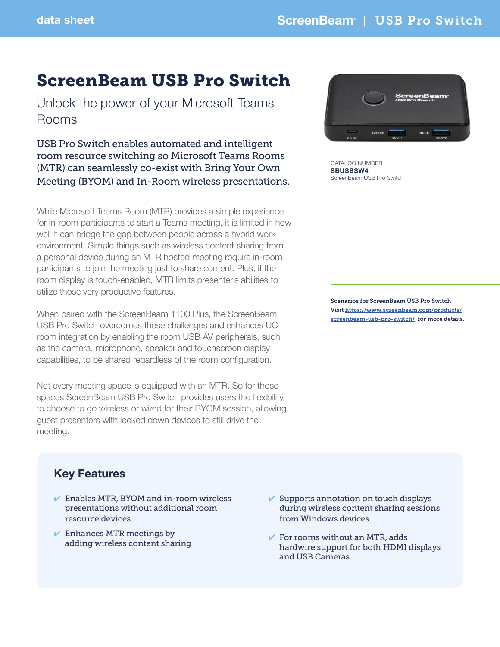# ScreenBeam USB Pro Switch

Unlock the power of your Microsoft Teams Rooms

USB Pro Switch enables automated and intelligent room resource switching so Microsoft Teams Rooms (MTR) can seamlessly co-exist with Bring Your Own Meeting (BYOM) and In-Room wireless presentations.

While Microsoft Teams Room (MTR) provides a simple experience for in-room participants to start a Teams meeting, it is limited in how well it can bridge the gap between people across a hybrid work environment. Simple things such as wireless content sharing from a personal device during an MTR hosted meeting require in-room participants to join the meeting just to share content. Plus, if the room display is touch-enabled, MTR limits presenter's abilities to utilize those very productive features.

When paired with the ScreenBeam 1100 Plus, the ScreenBeam USB Pro Switch overcomes these challenges and enhances UC room integration by enabling the room USB AV peripherals, such as the camera, microphone, speaker and touchscreen display capabilities, to be shared regardless of the room configuration.

Not every meeting space is equipped with an MTR. So for those spaces ScreenBeam USB Pro Switch provides users the flexibility to choose to go wireless or wired for their BYOM session, allowing guest presenters with locked down devices to still drive the meeting.



CATALOG NUMBER SBUSBSW4 ScreenBeam USB Pro Switch

Scenarios for ScreenBeam USB Pro Switch Visit [https://www.screenbeam.com/products/](https://www.screenbeam.com/products/screenbeam-usb-pro-switch/) [screenbeam-usb-pro-switch/](https://www.screenbeam.com/products/screenbeam-usb-pro-switch/) for more details.

## Key Features

- $\vee$  Enables MTR, BYOM and in-room wireless presentations without additional room resource devices
- $\vee$  Enhances MTR meetings by adding wireless content sharing
- $\checkmark$  Supports annotation on touch displays during wireless content sharing sessions from Windows devices
- $\checkmark$  For rooms without an MTR, adds hardwire support for both HDMI displays and USB Cameras